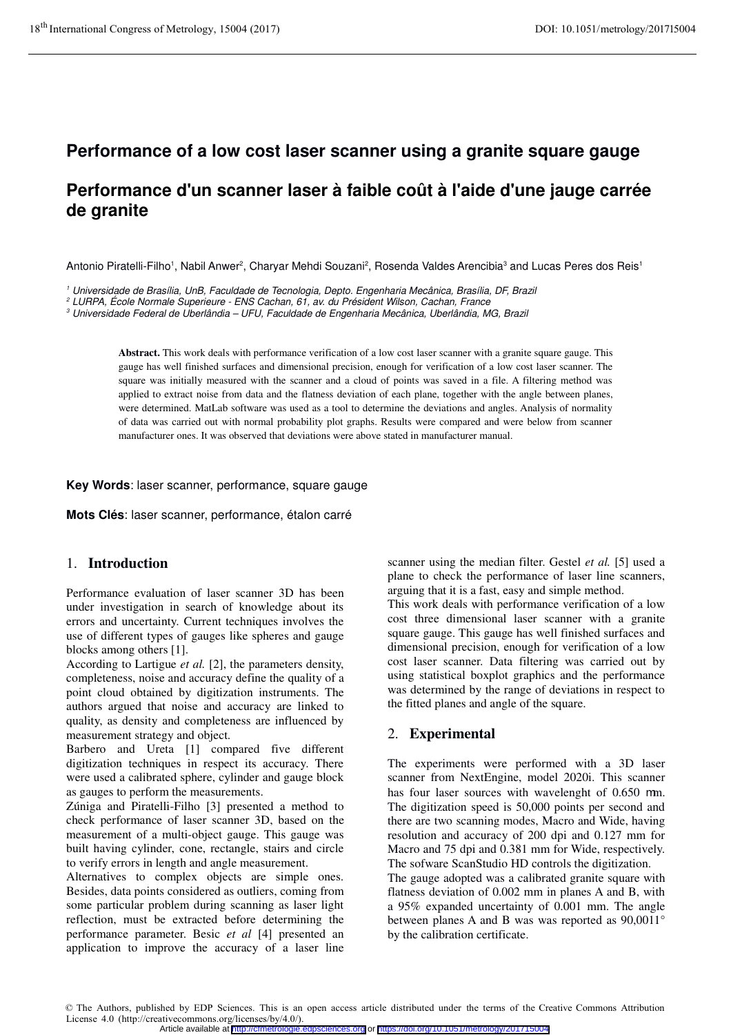# **Performance of a low cost laser scanner using a granite square gauge**

# **Performance d'un scanner laser à faible coût à l'aide d'une jauge carrée de granite**

Antonio Piratelli-Filho<sup>1</sup>, Nabil Anwer<sup>2</sup>, Charyar Mehdi Souzani<sup>2</sup>, Rosenda Valdes Arencibia<sup>3</sup> and Lucas Peres dos Reis<sup>1</sup>

1 Universidade de Brasília, UnB, Faculdade de Tecnologia, Depto. Engenharia Mecânica, Brasília, DF, Brazil

2 LURPA, École Normale Superieure - ENS Cachan, 61, av. du Président Wilson, Cachan, France

 $^3$  Universidade Federal de Uberlândia – UFU, Faculdade de Engenharia Mecânica, Uberlândia, MG, Brazil

**Abstract.** This work deals with performance verification of a low cost laser scanner with a granite square gauge. This gauge has well finished surfaces and dimensional precision, enough for verification of a low cost laser scanner. The square was initially measured with the scanner and a cloud of points was saved in a file. A filtering method was applied to extract noise from data and the flatness deviation of each plane, together with the angle between planes, were determined. MatLab software was used as a tool to determine the deviations and angles. Analysis of normality of data was carried out with normal probability plot graphs. Results were compared and were below from scanner manufacturer ones. It was observed that deviations were above stated in manufacturer manual.

**Key Words**: laser scanner, performance, square gauge

**Mots Clés**: laser scanner, performance, étalon carré

## 1. **Introduction**

Performance evaluation of laser scanner 3D has been under investigation in search of knowledge about its errors and uncertainty. Current techniques involves the use of different types of gauges like spheres and gauge blocks among others [1].

According to Lartigue *et al.* [2], the parameters density, completeness, noise and accuracy define the quality of a point cloud obtained by digitization instruments. The authors argued that noise and accuracy are linked to quality, as density and completeness are influenced by measurement strategy and object.

Barbero and Ureta [1] compared five different digitization techniques in respect its accuracy. There were used a calibrated sphere, cylinder and gauge block as gauges to perform the measurements.

Zúniga and Piratelli-Filho [3] presented a method to check performance of laser scanner 3D, based on the measurement of a multi-object gauge. This gauge was built having cylinder, cone, rectangle, stairs and circle to verify errors in length and angle measurement.

Alternatives to complex objects are simple ones. Besides, data points considered as outliers, coming from some particular problem during scanning as laser light reflection, must be extracted before determining the performance parameter. Besic *et al* [4] presented an application to improve the accuracy of a laser line

scanner using the median filter. Gestel *et al.* [5] used a plane to check the performance of laser line scanners, arguing that it is a fast, easy and simple method.

This work deals with performance verification of a low cost three dimensional laser scanner with a granite square gauge. This gauge has well finished surfaces and dimensional precision, enough for verification of a low cost laser scanner. Data filtering was carried out by using statistical boxplot graphics and the performance was determined by the range of deviations in respect to the fitted planes and angle of the square.

# 2. **Experimental**

The experiments were performed with a 3D laser scanner from NextEngine, model 2020i. This scanner has four laser sources with wavelenght of 0.650 mm. The digitization speed is 50,000 points per second and there are two scanning modes, Macro and Wide, having resolution and accuracy of 200 dpi and 0.127 mm for Macro and 75 dpi and 0.381 mm for Wide, respectively. The sofware ScanStudio HD controls the digitization.

The gauge adopted was a calibrated granite square with flatness deviation of 0.002 mm in planes A and B, with a 95% expanded uncertainty of 0.001 mm. The angle between planes A and B was was reported as 90,0011° by the calibration certificate.

<sup>©</sup> The Authors, published by EDP Sciences. This is an open access article distributed under the terms of the Creative Commons Attribution License 4.0 (http://creativecommons.org/licenses/by/4.0/). Article available at <http://cfmetrologie.edpsciences.org> or <https://doi.org/10.1051/metrology/201715004>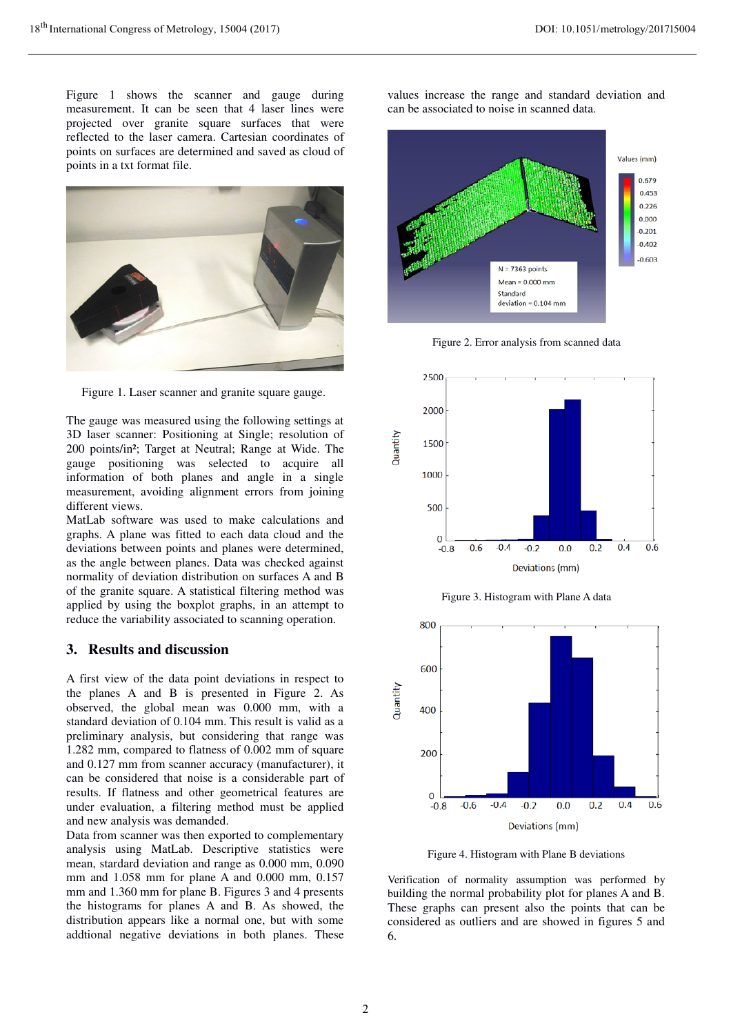Figure 1 shows the scanner and gauge during measurement. It can be seen that 4 laser lines were projected over granite square surfaces that were reflected to the laser camera. Cartesian coordinates of points on surfaces are determined and saved as cloud of points in a txt format file.



Figure 1. Laser scanner and granite square gauge.

The gauge was measured using the following settings at 3D laser scanner: Positioning at Single; resolution of 200 points/in²; Target at Neutral; Range at Wide. The gauge positioning was selected to acquire all information of both planes and angle in a single measurement, avoiding alignment errors from joining different views.

MatLab software was used to make calculations and graphs. A plane was fitted to each data cloud and the deviations between points and planes were determined, as the angle between planes. Data was checked against normality of deviation distribution on surfaces A and B of the granite square. A statistical filtering method was applied by using the boxplot graphs, in an attempt to reduce the variability associated to scanning operation.

#### **3. Results and discussion**

A first view of the data point deviations in respect to the planes A and B is presented in Figure 2. As observed, the global mean was 0.000 mm, with a standard deviation of 0.104 mm. This result is valid as a preliminary analysis, but considering that range was 1.282 mm, compared to flatness of 0.002 mm of square and 0.127 mm from scanner accuracy (manufacturer), it can be considered that noise is a considerable part of results. If flatness and other geometrical features are under evaluation, a filtering method must be applied and new analysis was demanded.

Data from scanner was then exported to complementary analysis using MatLab. Descriptive statistics were mean, stardard deviation and range as 0.000 mm, 0.090 mm and 1.058 mm for plane A and 0.000 mm, 0.157 mm and 1.360 mm for plane B. Figures 3 and 4 presents the histograms for planes A and B. As showed, the distribution appears like a normal one, but with some addtional negative deviations in both planes. These values increase the range and standard deviation and can be associated to noise in scanned data.







Figure 3. Histogram with Plane A data



Figure 4. Histogram with Plane B deviations

Verification of normality assumption was performed by building the normal probability plot for planes A and B. These graphs can present also the points that can be considered as outliers and are showed in figures 5 and 6.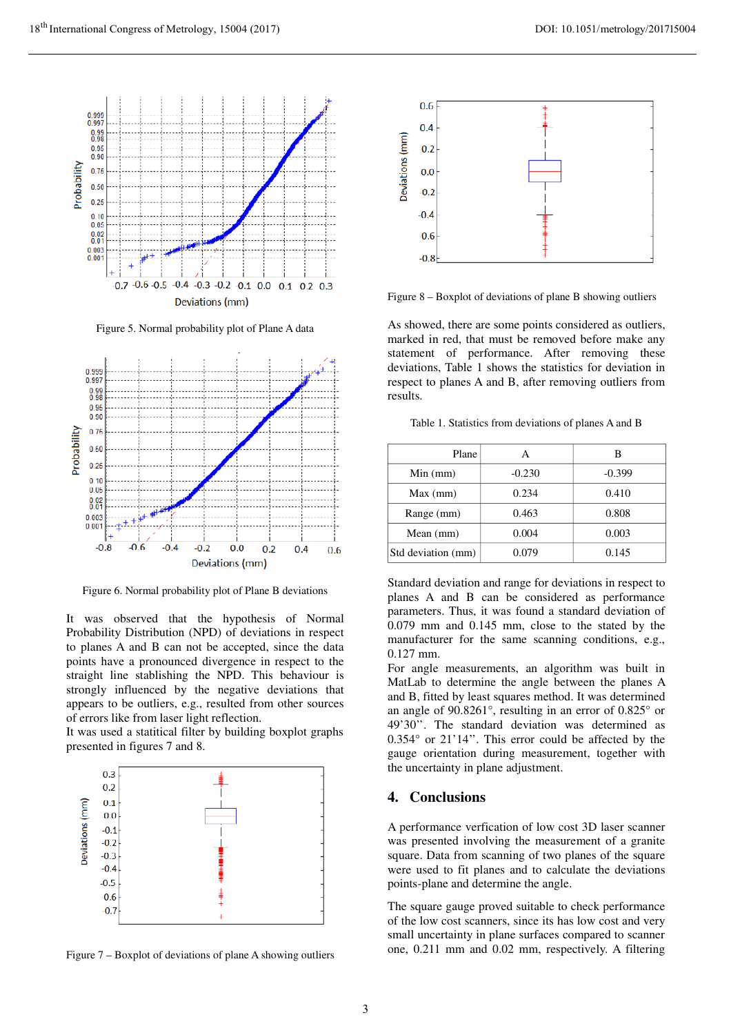

Figure 5. Normal probability plot of Plane A data



Figure 6. Normal probability plot of Plane B deviations

It was observed that the hypothesis of Normal Probability Distribution (NPD) of deviations in respect to planes A and B can not be accepted, since the data points have a pronounced divergence in respect to the straight line stablishing the NPD. This behaviour is strongly influenced by the negative deviations that appears to be outliers, e.g., resulted from other sources of errors like from laser light reflection.

It was used a statitical filter by building boxplot graphs presented in figures 7 and 8.



Figure 7 – Boxplot of deviations of plane A showing outliers



Figure 8 – Boxplot of deviations of plane B showing outliers

As showed, there are some points considered as outliers, marked in red, that must be removed before make any statement of performance. After removing these deviations, Table 1 shows the statistics for deviation in respect to planes A and B, after removing outliers from results.

Table 1. Statistics from deviations of planes A and B

| Plane              |          |          |
|--------------------|----------|----------|
| $Min$ (mm)         | $-0.230$ | $-0.399$ |
| Max (mm)           | 0.234    | 0.410    |
| Range (mm)         | 0.463    | 0.808    |
| Mean $(mm)$        | 0.004    | 0.003    |
| Std deviation (mm) | 0.079    | 0.145    |

Standard deviation and range for deviations in respect to planes A and B can be considered as performance parameters. Thus, it was found a standard deviation of 0.079 mm and 0.145 mm, close to the stated by the manufacturer for the same scanning conditions, e.g., 0.127 mm.

For angle measurements, an algorithm was built in MatLab to determine the angle between the planes A and B, fitted by least squares method. It was determined an angle of 90.8261°, resulting in an error of 0.825° or 49'30''. The standard deviation was determined as 0.354° or 21'14''. This error could be affected by the gauge orientation during measurement, together with the uncertainty in plane adjustment.

#### **4. Conclusions**

A performance verfication of low cost 3D laser scanner was presented involving the measurement of a granite square. Data from scanning of two planes of the square were used to fit planes and to calculate the deviations points-plane and determine the angle.

The square gauge proved suitable to check performance of the low cost scanners, since its has low cost and very small uncertainty in plane surfaces compared to scanner one, 0.211 mm and 0.02 mm, respectively. A filtering